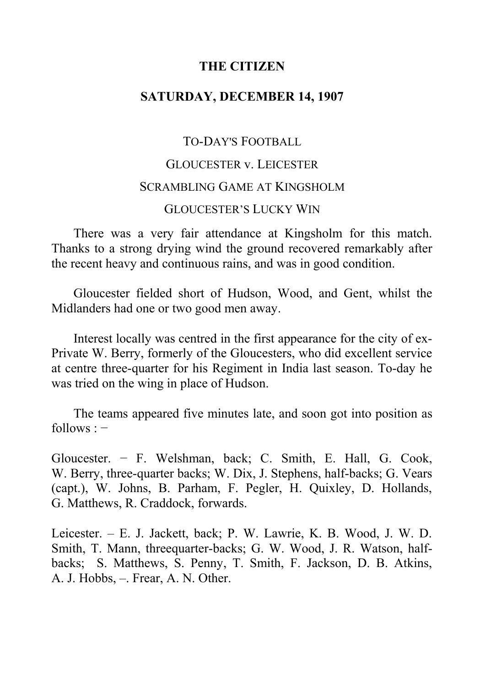### **THE CITIZEN**

## **SATURDAY, DECEMBER 14, 1907**

# TO-DAY'S FOOTBALL GLOUCESTER v. LEICESTER SCRAMBLING GAME AT KINGSHOLM GLOUCESTER'S LUCKY WIN

There was a very fair attendance at Kingsholm for this match. Thanks to a strong drying wind the ground recovered remarkably after the recent heavy and continuous rains, and was in good condition.

Gloucester fielded short of Hudson, Wood, and Gent, whilst the Midlanders had one or two good men away.

Interest locally was centred in the first appearance for the city of ex-Private W. Berry, formerly of the Gloucesters, who did excellent service at centre three-quarter for his Regiment in India last season. To-day he was tried on the wing in place of Hudson.

The teams appeared five minutes late, and soon got into position as  $follows: –$ 

Gloucester. − F. Welshman, back; C. Smith, E. Hall, G. Cook, W. Berry, three-quarter backs; W. Dix, J. Stephens, half-backs; G. Vears (capt.), W. Johns, B. Parham, F. Pegler, H. Quixley, D. Hollands, G. Matthews, R. Craddock, forwards.

Leicester. – E. J. Jackett, back; P. W. Lawrie, K. B. Wood, J. W. D. Smith, T. Mann, threequarter-backs; G. W. Wood, J. R. Watson, halfbacks; S. Matthews, S. Penny, T. Smith, F. Jackson, D. B. Atkins, A. J. Hobbs, -. Frear, A. N. Other.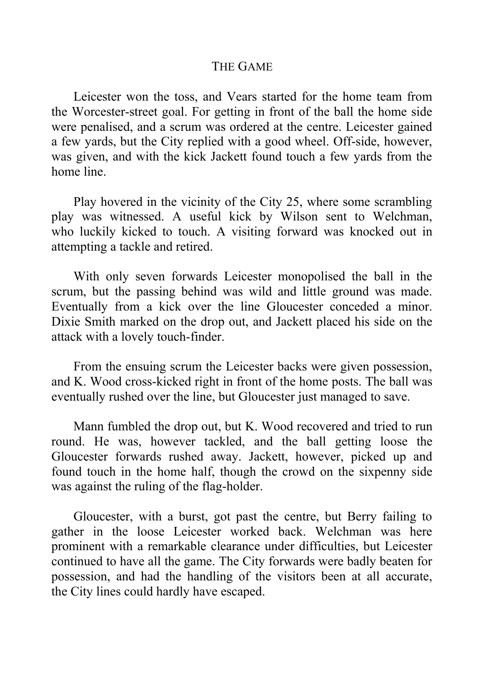### THE GAME

Leicester won the toss, and Vears started for the home team from the Worcester-street goal. For getting in front of the ball the home side were penalised, and a scrum was ordered at the centre. Leicester gained a few yards, but the City replied with a good wheel. Off-side, however, was given, and with the kick Jackett found touch a few yards from the home line.

Play hovered in the vicinity of the City 25, where some scrambling play was witnessed. A useful kick by Wilson sent to Welchman, who luckily kicked to touch. A visiting forward was knocked out in attempting a tackle and retired.

With only seven forwards Leicester monopolised the ball in the scrum, but the passing behind was wild and little ground was made. Eventually from a kick over the line Gloucester conceded a minor. Dixie Smith marked on the drop out, and Jackett placed his side on the attack with a lovely touch-finder.

From the ensuing scrum the Leicester backs were given possession, and K. Wood cross-kicked right in front of the home posts. The ball was eventually rushed over the line, but Gloucester just managed to save.

Mann fumbled the drop out, but K. Wood recovered and tried to run round. He was, however tackled, and the ball getting loose the Gloucester forwards rushed away. Jackett, however, picked up and found touch in the home half, though the crowd on the sixpenny side was against the ruling of the flag-holder.

Gloucester, with a burst, got past the centre, but Berry failing to gather in the loose Leicester worked back. Welchman was here prominent with a remarkable clearance under difficulties, but Leicester continued to have all the game. The City forwards were badly beaten for possession, and had the handling of the visitors been at all accurate, the City lines could hardly have escaped.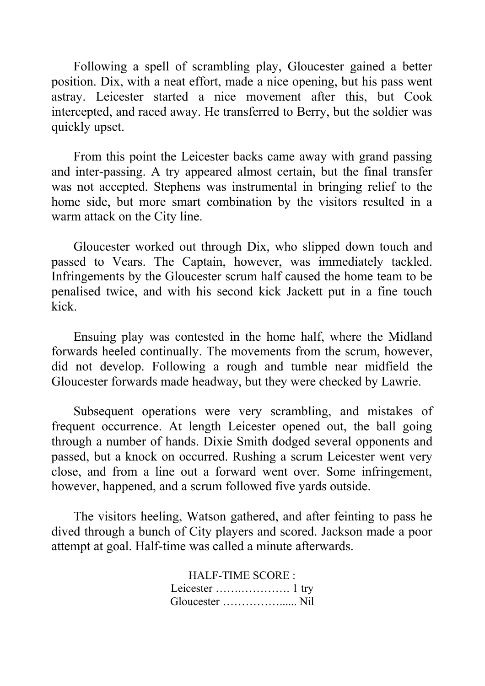Following a spell of scrambling play, Gloucester gained a better position. Dix, with a neat effort, made a nice opening, but his pass went astray. Leicester started a nice movement after this, but Cook intercepted, and raced away. He transferred to Berry, but the soldier was quickly upset.

From this point the Leicester backs came away with grand passing and inter-passing. A try appeared almost certain, but the final transfer was not accepted. Stephens was instrumental in bringing relief to the home side, but more smart combination by the visitors resulted in a warm attack on the City line.

Gloucester worked out through Dix, who slipped down touch and passed to Vears. The Captain, however, was immediately tackled. Infringements by the Gloucester scrum half caused the home team to be penalised twice, and with his second kick Jackett put in a fine touch kick.

Ensuing play was contested in the home half, where the Midland forwards heeled continually. The movements from the scrum, however, did not develop. Following a rough and tumble near midfield the Gloucester forwards made headway, but they were checked by Lawrie.

Subsequent operations were very scrambling, and mistakes of frequent occurrence. At length Leicester opened out, the ball going through a number of hands. Dixie Smith dodged several opponents and passed, but a knock on occurred. Rushing a scrum Leicester went very close, and from a line out a forward went over. Some infringement, however, happened, and a scrum followed five yards outside.

The visitors heeling, Watson gathered, and after feinting to pass he dived through a bunch of City players and scored. Jackson made a poor attempt at goal. Half-time was called a minute afterwards.

> HALF-TIME SCORE : Leicester …….…………. 1 try Gloucester ……………...... Nil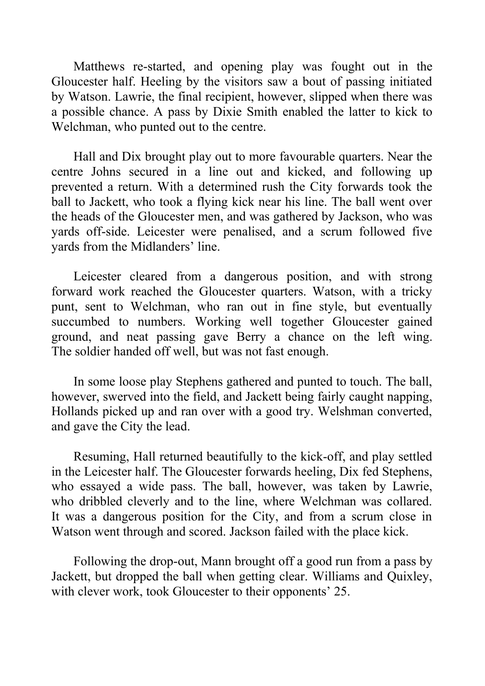Matthews re-started, and opening play was fought out in the Gloucester half. Heeling by the visitors saw a bout of passing initiated by Watson. Lawrie, the final recipient, however, slipped when there was a possible chance. A pass by Dixie Smith enabled the latter to kick to Welchman, who punted out to the centre.

Hall and Dix brought play out to more favourable quarters. Near the centre Johns secured in a line out and kicked, and following up prevented a return. With a determined rush the City forwards took the ball to Jackett, who took a flying kick near his line. The ball went over the heads of the Gloucester men, and was gathered by Jackson, who was yards off-side. Leicester were penalised, and a scrum followed five yards from the Midlanders' line.

Leicester cleared from a dangerous position, and with strong forward work reached the Gloucester quarters. Watson, with a tricky punt, sent to Welchman, who ran out in fine style, but eventually succumbed to numbers. Working well together Gloucester gained ground, and neat passing gave Berry a chance on the left wing. The soldier handed off well, but was not fast enough.

In some loose play Stephens gathered and punted to touch. The ball, however, swerved into the field, and Jackett being fairly caught napping, Hollands picked up and ran over with a good try. Welshman converted, and gave the City the lead.

Resuming, Hall returned beautifully to the kick-off, and play settled in the Leicester half. The Gloucester forwards heeling, Dix fed Stephens, who essayed a wide pass. The ball, however, was taken by Lawrie, who dribbled cleverly and to the line, where Welchman was collared. It was a dangerous position for the City, and from a scrum close in Watson went through and scored. Jackson failed with the place kick.

Following the drop-out, Mann brought off a good run from a pass by Jackett, but dropped the ball when getting clear. Williams and Quixley, with clever work, took Gloucester to their opponents' 25.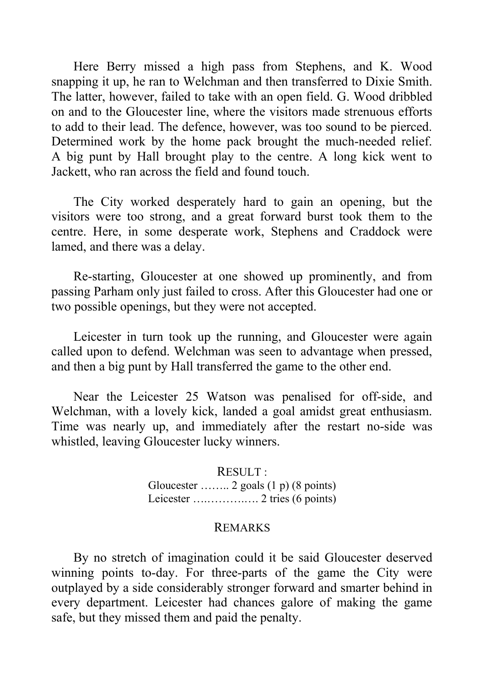Here Berry missed a high pass from Stephens, and K. Wood snapping it up, he ran to Welchman and then transferred to Dixie Smith. The latter, however, failed to take with an open field. G. Wood dribbled on and to the Gloucester line, where the visitors made strenuous efforts to add to their lead. The defence, however, was too sound to be pierced. Determined work by the home pack brought the much-needed relief. A big punt by Hall brought play to the centre. A long kick went to Jackett, who ran across the field and found touch.

The City worked desperately hard to gain an opening, but the visitors were too strong, and a great forward burst took them to the centre. Here, in some desperate work, Stephens and Craddock were lamed, and there was a delay.

Re-starting, Gloucester at one showed up prominently, and from passing Parham only just failed to cross. After this Gloucester had one or two possible openings, but they were not accepted.

Leicester in turn took up the running, and Gloucester were again called upon to defend. Welchman was seen to advantage when pressed, and then a big punt by Hall transferred the game to the other end.

Near the Leicester 25 Watson was penalised for off-side, and Welchman, with a lovely kick, landed a goal amidst great enthusiasm. Time was nearly up, and immediately after the restart no-side was whistled, leaving Gloucester lucky winners.

> RESULT : Gloucester …….. 2 goals (1 p) (8 points) Leicester ….……….…. 2 tries (6 points)

#### REMARKS

By no stretch of imagination could it be said Gloucester deserved winning points to-day. For three-parts of the game the City were outplayed by a side considerably stronger forward and smarter behind in every department. Leicester had chances galore of making the game safe, but they missed them and paid the penalty.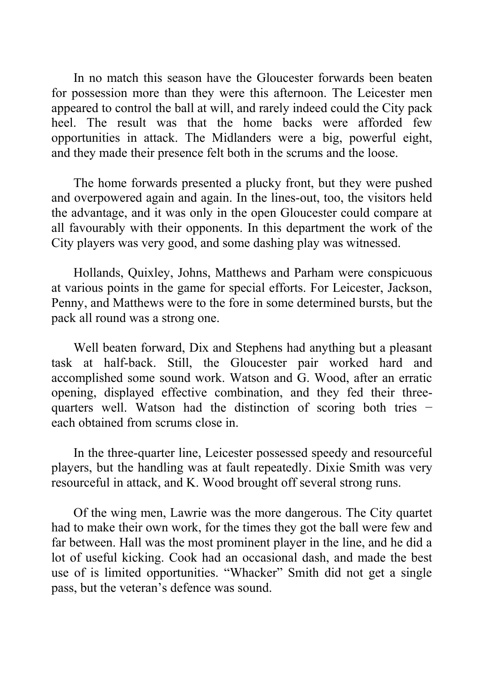In no match this season have the Gloucester forwards been beaten for possession more than they were this afternoon. The Leicester men appeared to control the ball at will, and rarely indeed could the City pack heel. The result was that the home backs were afforded few opportunities in attack. The Midlanders were a big, powerful eight, and they made their presence felt both in the scrums and the loose.

The home forwards presented a plucky front, but they were pushed and overpowered again and again. In the lines-out, too, the visitors held the advantage, and it was only in the open Gloucester could compare at all favourably with their opponents. In this department the work of the City players was very good, and some dashing play was witnessed.

Hollands, Quixley, Johns, Matthews and Parham were conspicuous at various points in the game for special efforts. For Leicester, Jackson, Penny, and Matthews were to the fore in some determined bursts, but the pack all round was a strong one.

Well beaten forward, Dix and Stephens had anything but a pleasant task at half-back. Still, the Gloucester pair worked hard and accomplished some sound work. Watson and G. Wood, after an erratic opening, displayed effective combination, and they fed their threequarters well. Watson had the distinction of scoring both tries − each obtained from scrums close in.

In the three-quarter line, Leicester possessed speedy and resourceful players, but the handling was at fault repeatedly. Dixie Smith was very resourceful in attack, and K. Wood brought off several strong runs.

Of the wing men, Lawrie was the more dangerous. The City quartet had to make their own work, for the times they got the ball were few and far between. Hall was the most prominent player in the line, and he did a lot of useful kicking. Cook had an occasional dash, and made the best use of is limited opportunities. "Whacker" Smith did not get a single pass, but the veteran's defence was sound.